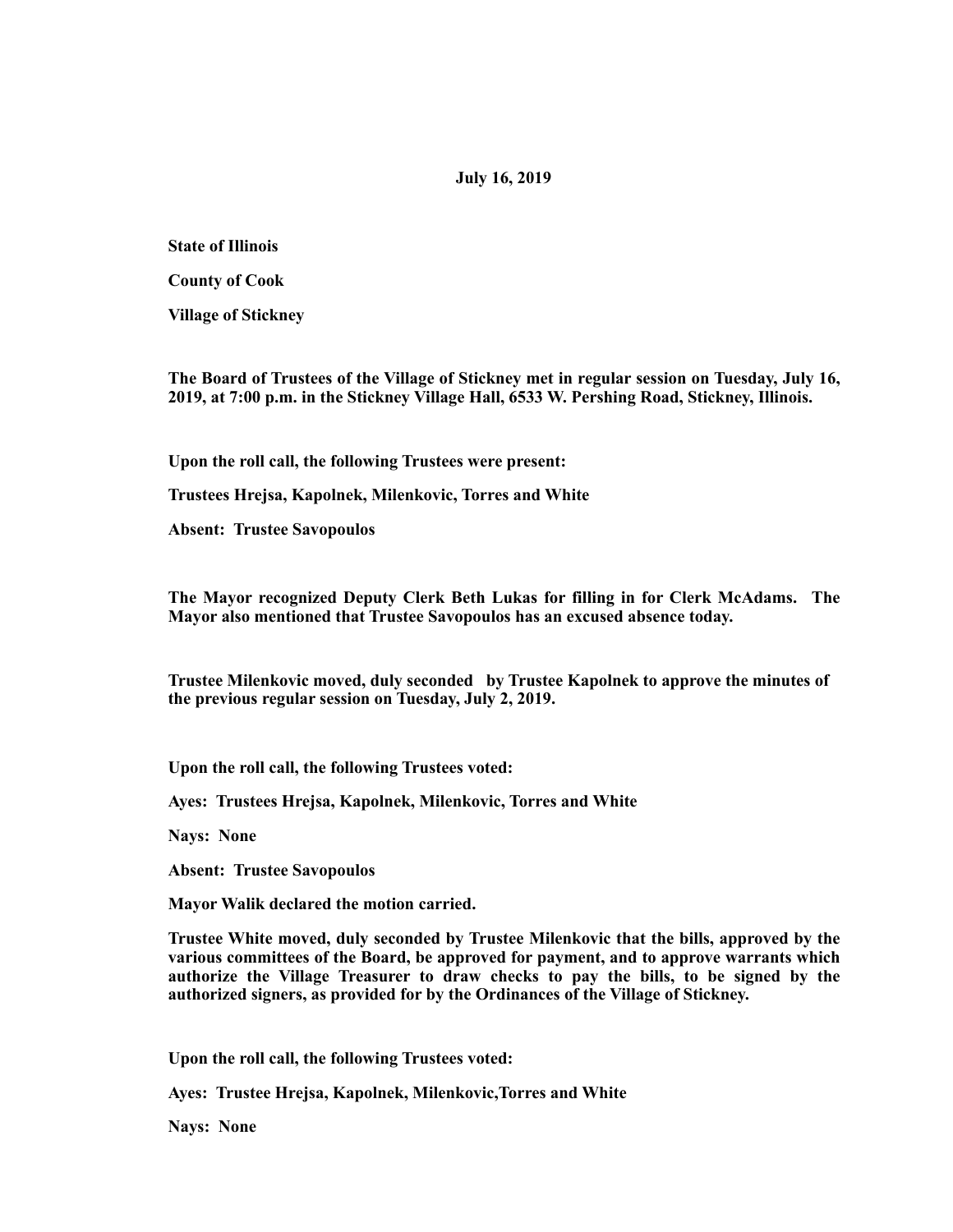## **July 16, 2019**

**State of Illinois** 

**County of Cook** 

**Village of Stickney** 

**The Board of Trustees of the Village of Stickney met in regular session on Tuesday, July 16, 2019, at 7:00 p.m. in the Stickney Village Hall, 6533 W. Pershing Road, Stickney, Illinois.** 

**Upon the roll call, the following Trustees were present:** 

**Trustees Hrejsa, Kapolnek, Milenkovic, Torres and White** 

**Absent: Trustee Savopoulos** 

**The Mayor recognized Deputy Clerk Beth Lukas for filling in for Clerk McAdams. The Mayor also mentioned that Trustee Savopoulos has an excused absence today.** 

**Trustee Milenkovic moved, duly seconded by Trustee Kapolnek to approve the minutes of the previous regular session on Tuesday, July 2, 2019.** 

**Upon the roll call, the following Trustees voted:** 

**Ayes: Trustees Hrejsa, Kapolnek, Milenkovic, Torres and White** 

**Nays: None** 

**Absent: Trustee Savopoulos** 

**Mayor Walik declared the motion carried.** 

**Trustee White moved, duly seconded by Trustee Milenkovic that the bills, approved by the various committees of the Board, be approved for payment, and to approve warrants which authorize the Village Treasurer to draw checks to pay the bills, to be signed by the authorized signers, as provided for by the Ordinances of the Village of Stickney.** 

**Upon the roll call, the following Trustees voted:** 

**Ayes: Trustee Hrejsa, Kapolnek, Milenkovic,Torres and White** 

**Nays: None**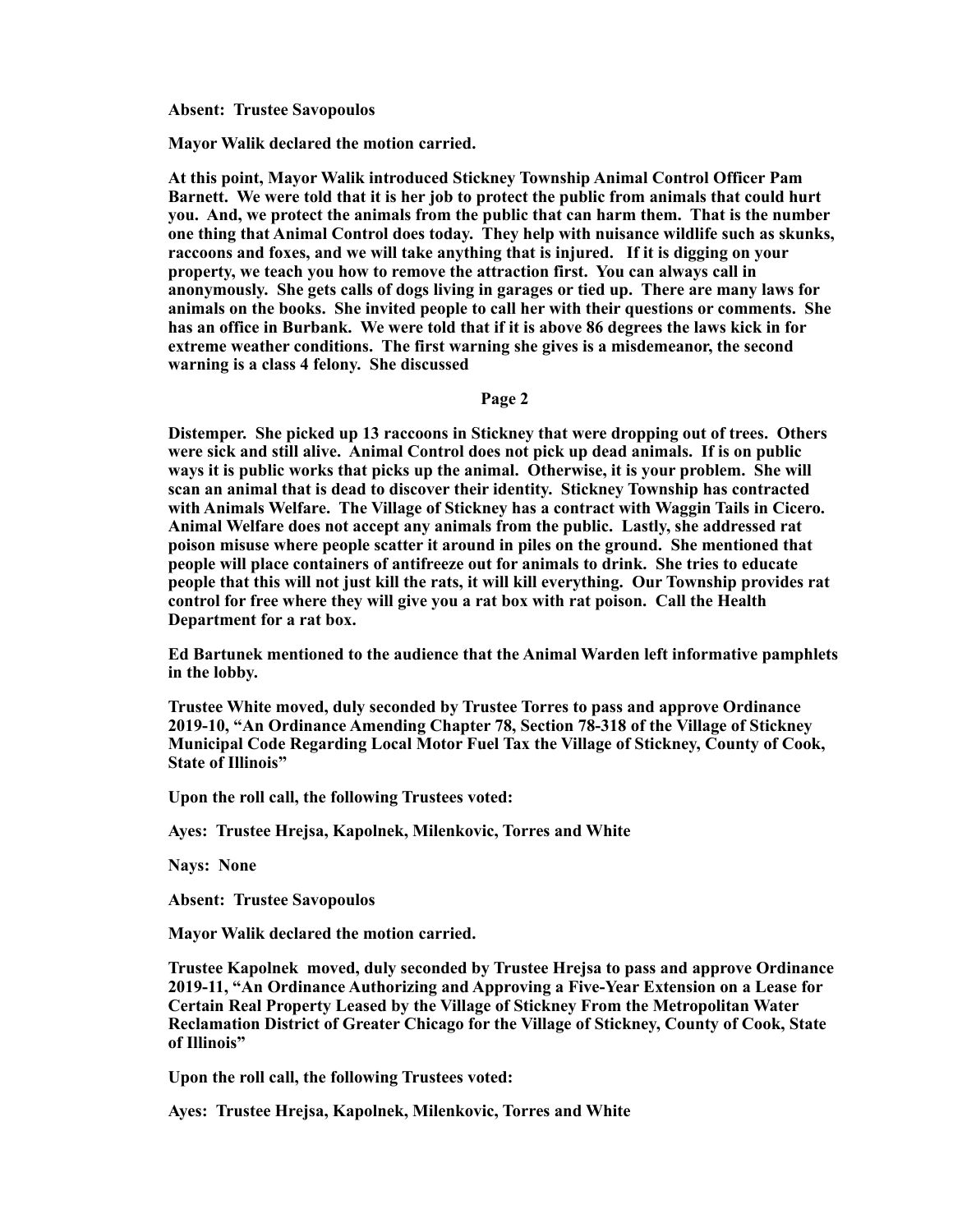**Absent: Trustee Savopoulos** 

**Mayor Walik declared the motion carried.** 

**At this point, Mayor Walik introduced Stickney Township Animal Control Officer Pam Barnett. We were told that it is her job to protect the public from animals that could hurt you. And, we protect the animals from the public that can harm them. That is the number one thing that Animal Control does today. They help with nuisance wildlife such as skunks, raccoons and foxes, and we will take anything that is injured. If it is digging on your property, we teach you how to remove the attraction first. You can always call in anonymously. She gets calls of dogs living in garages or tied up. There are many laws for animals on the books. She invited people to call her with their questions or comments. She has an office in Burbank. We were told that if it is above 86 degrees the laws kick in for extreme weather conditions. The first warning she gives is a misdemeanor, the second warning is a class 4 felony. She discussed** 

**Page 2** 

**Distemper. She picked up 13 raccoons in Stickney that were dropping out of trees. Others were sick and still alive. Animal Control does not pick up dead animals. If is on public ways it is public works that picks up the animal. Otherwise, it is your problem. She will scan an animal that is dead to discover their identity. Stickney Township has contracted with Animals Welfare. The Village of Stickney has a contract with Waggin Tails in Cicero. Animal Welfare does not accept any animals from the public. Lastly, she addressed rat poison misuse where people scatter it around in piles on the ground. She mentioned that people will place containers of antifreeze out for animals to drink. She tries to educate people that this will not just kill the rats, it will kill everything. Our Township provides rat control for free where they will give you a rat box with rat poison. Call the Health Department for a rat box.** 

**Ed Bartunek mentioned to the audience that the Animal Warden left informative pamphlets in the lobby.** 

**Trustee White moved, duly seconded by Trustee Torres to pass and approve Ordinance 2019-10, "An Ordinance Amending Chapter 78, Section 78-318 of the Village of Stickney Municipal Code Regarding Local Motor Fuel Tax the Village of Stickney, County of Cook, State of Illinois"** 

**Upon the roll call, the following Trustees voted:** 

**Ayes: Trustee Hrejsa, Kapolnek, Milenkovic, Torres and White** 

**Nays: None** 

**Absent: Trustee Savopoulos** 

**Mayor Walik declared the motion carried.** 

**Trustee Kapolnek moved, duly seconded by Trustee Hrejsa to pass and approve Ordinance 2019-11, "An Ordinance Authorizing and Approving a Five-Year Extension on a Lease for Certain Real Property Leased by the Village of Stickney From the Metropolitan Water Reclamation District of Greater Chicago for the Village of Stickney, County of Cook, State of Illinois"** 

**Upon the roll call, the following Trustees voted:** 

**Ayes: Trustee Hrejsa, Kapolnek, Milenkovic, Torres and White**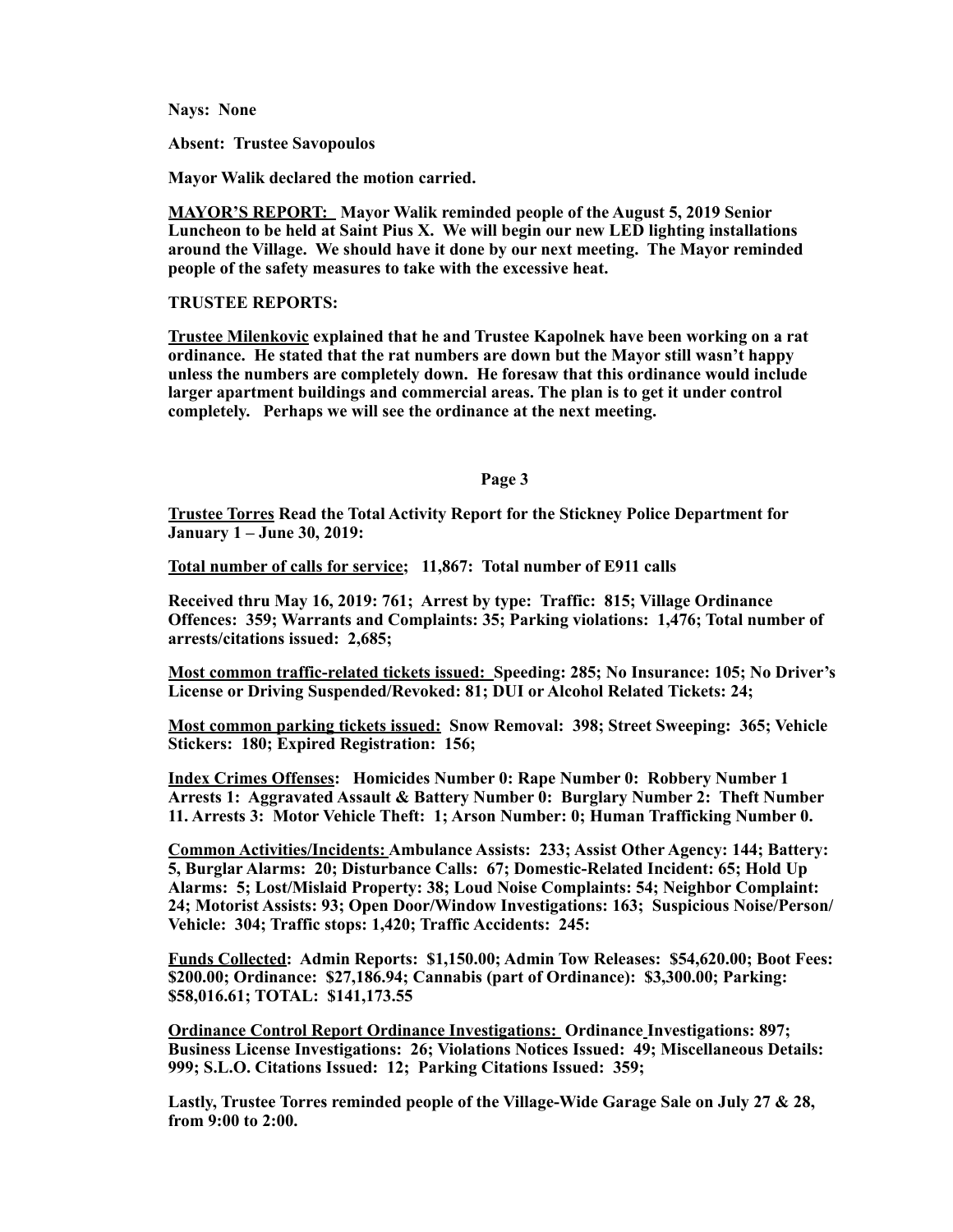**Nays: None** 

**Absent: Trustee Savopoulos** 

**Mayor Walik declared the motion carried.** 

**MAYOR'S REPORT: Mayor Walik reminded people of the August 5, 2019 Senior Luncheon to be held at Saint Pius X. We will begin our new LED lighting installations around the Village. We should have it done by our next meeting. The Mayor reminded people of the safety measures to take with the excessive heat.** 

## **TRUSTEE REPORTS:**

**Trustee Milenkovic explained that he and Trustee Kapolnek have been working on a rat ordinance. He stated that the rat numbers are down but the Mayor still wasn't happy unless the numbers are completely down. He foresaw that this ordinance would include larger apartment buildings and commercial areas. The plan is to get it under control completely. Perhaps we will see the ordinance at the next meeting.** 

## **Page 3**

**Trustee Torres Read the Total Activity Report for the Stickney Police Department for January 1 – June 30, 2019:** 

**Total number of calls for service; 11,867: Total number of E911 calls** 

**Received thru May 16, 2019: 761; Arrest by type: Traffic: 815; Village Ordinance Offences: 359; Warrants and Complaints: 35; Parking violations: 1,476; Total number of arrests/citations issued: 2,685;** 

**Most common traffic-related tickets issued: Speeding: 285; No Insurance: 105; No Driver's License or Driving Suspended/Revoked: 81; DUI or Alcohol Related Tickets: 24;** 

**Most common parking tickets issued: Snow Removal: 398; Street Sweeping: 365; Vehicle Stickers: 180; Expired Registration: 156;** 

**Index Crimes Offenses: Homicides Number 0: Rape Number 0: Robbery Number 1 Arrests 1: Aggravated Assault & Battery Number 0: Burglary Number 2: Theft Number 11. Arrests 3: Motor Vehicle Theft: 1; Arson Number: 0; Human Trafficking Number 0.** 

**Common Activities/Incidents: Ambulance Assists: 233; Assist Other Agency: 144; Battery: 5, Burglar Alarms: 20; Disturbance Calls: 67; Domestic-Related Incident: 65; Hold Up Alarms: 5; Lost/Mislaid Property: 38; Loud Noise Complaints: 54; Neighbor Complaint: 24; Motorist Assists: 93; Open Door/Window Investigations: 163; Suspicious Noise/Person/ Vehicle: 304; Traffic stops: 1,420; Traffic Accidents: 245:** 

**Funds Collected: Admin Reports: \$1,150.00; Admin Tow Releases: \$54,620.00; Boot Fees: \$200.00; Ordinance: \$27,186.94; Cannabis (part of Ordinance): \$3,300.00; Parking: \$58,016.61; TOTAL: \$141,173.55** 

**Ordinance Control Report Ordinance Investigations: Ordinance Investigations: 897; Business License Investigations: 26; Violations Notices Issued: 49; Miscellaneous Details: 999; S.L.O. Citations Issued: 12; Parking Citations Issued: 359;** 

**Lastly, Trustee Torres reminded people of the Village-Wide Garage Sale on July 27 & 28, from 9:00 to 2:00.**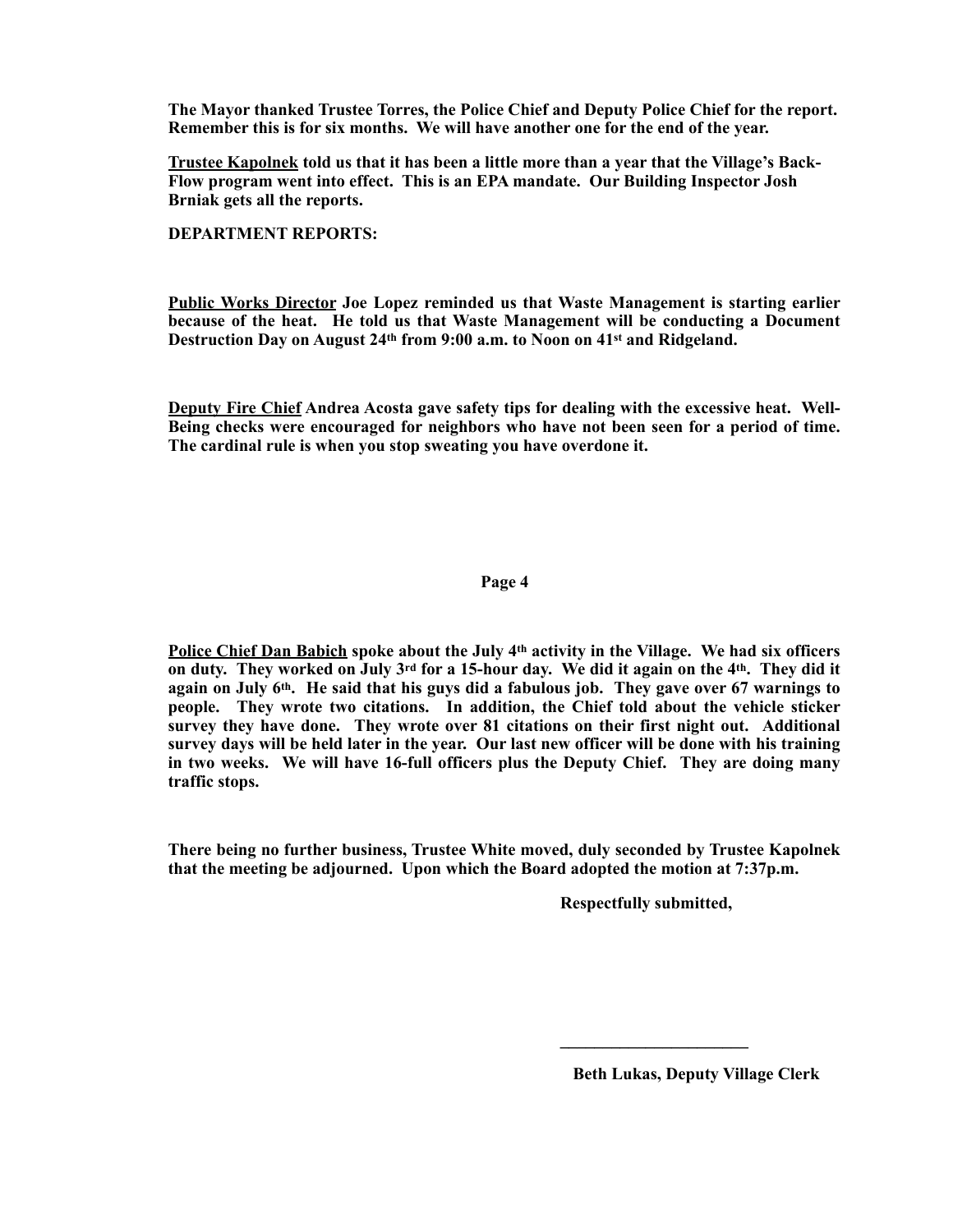**The Mayor thanked Trustee Torres, the Police Chief and Deputy Police Chief for the report. Remember this is for six months. We will have another one for the end of the year.** 

**Trustee Kapolnek told us that it has been a little more than a year that the Village's Back-Flow program went into effect. This is an EPA mandate. Our Building Inspector Josh Brniak gets all the reports.** 

**DEPARTMENT REPORTS:** 

**Public Works Director Joe Lopez reminded us that Waste Management is starting earlier because of the heat. He told us that Waste Management will be conducting a Document Destruction Day on August 24th from 9:00 a.m. to Noon on 41st and Ridgeland.** 

**Deputy Fire Chief Andrea Acosta gave safety tips for dealing with the excessive heat. Well-Being checks were encouraged for neighbors who have not been seen for a period of time. The cardinal rule is when you stop sweating you have overdone it.** 

## **Page 4**

**Police Chief Dan Babich spoke about the July 4th activity in the Village. We had six officers on duty. They worked on July 3rd for a 15-hour day. We did it again on the 4th. They did it again on July 6th. He said that his guys did a fabulous job. They gave over 67 warnings to people. They wrote two citations. In addition, the Chief told about the vehicle sticker survey they have done. They wrote over 81 citations on their first night out. Additional survey days will be held later in the year. Our last new officer will be done with his training in two weeks. We will have 16-full officers plus the Deputy Chief. They are doing many traffic stops.** 

**There being no further business, Trustee White moved, duly seconded by Trustee Kapolnek that the meeting be adjourned. Upon which the Board adopted the motion at 7:37p.m.** 

 $\mathcal{L} = \{ \mathcal{L} \mid \mathcal{L} \in \mathcal{L} \}$  , where  $\mathcal{L} = \{ \mathcal{L} \mid \mathcal{L} \in \mathcal{L} \}$  , where  $\mathcal{L} = \{ \mathcal{L} \mid \mathcal{L} \in \mathcal{L} \}$ 

 **Respectfully submitted,** 

 **Beth Lukas, Deputy Village Clerk**